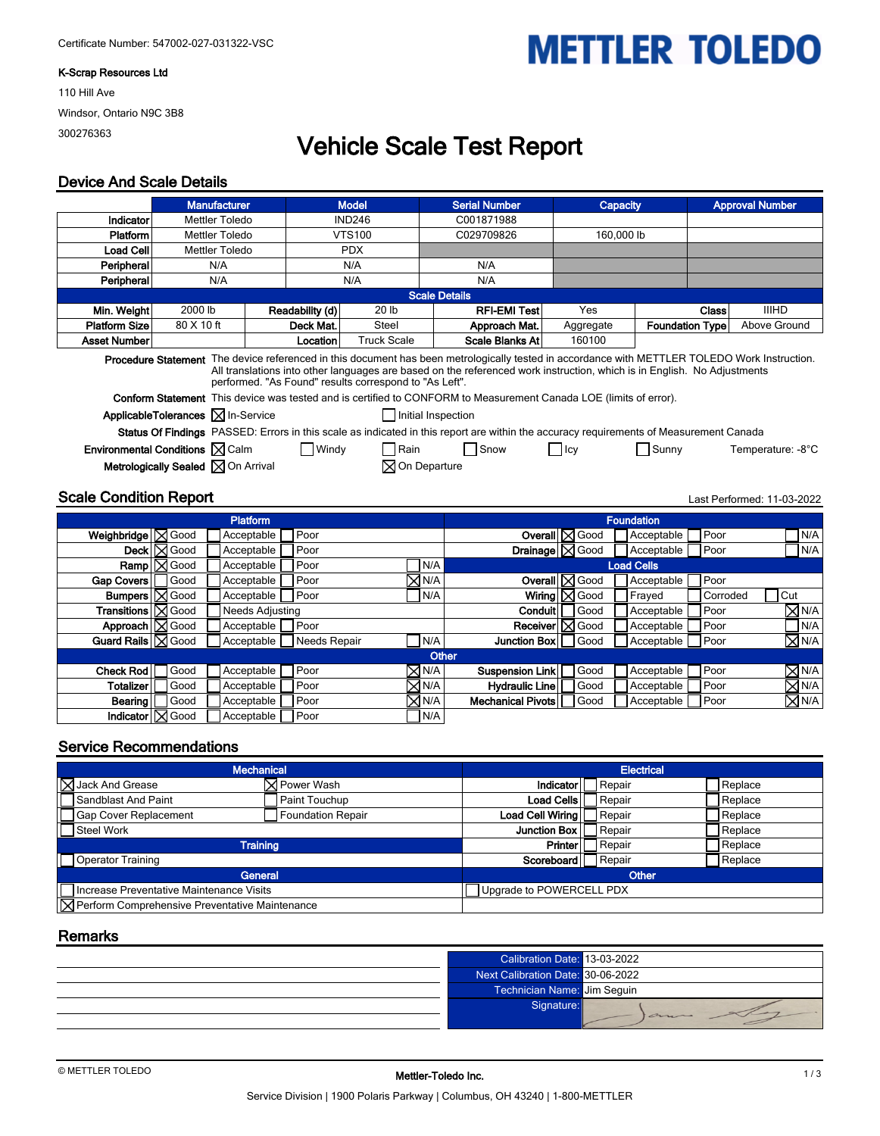#### **K-Scrap Resources Ltd**

110 Hill Ave Windsor, Ontario N9C 3B8 300276363

# **Vehicle Scale Test Report**

**METTLER TOLEDO** 

#### **Device And Scale Details**

|                                                             | <b>Manufacturer</b><br><b>Model</b>                                                                                                                                                                                                                                                                                                |  |                 | <b>Serial Number</b> | Capacity                                                                                                                               |            | <b>Approval Number</b> |                   |  |  |
|-------------------------------------------------------------|------------------------------------------------------------------------------------------------------------------------------------------------------------------------------------------------------------------------------------------------------------------------------------------------------------------------------------|--|-----------------|----------------------|----------------------------------------------------------------------------------------------------------------------------------------|------------|------------------------|-------------------|--|--|
| Indicator                                                   | <b>Mettler Toledo</b>                                                                                                                                                                                                                                                                                                              |  | <b>IND246</b>   |                      | C001871988                                                                                                                             |            |                        |                   |  |  |
| Platform                                                    | <b>Mettler Toledo</b>                                                                                                                                                                                                                                                                                                              |  |                 | <b>VTS100</b>        | C029709826                                                                                                                             | 160,000 lb |                        |                   |  |  |
| <b>Load Cell</b>                                            | <b>Mettler Toledo</b>                                                                                                                                                                                                                                                                                                              |  |                 | <b>PDX</b>           |                                                                                                                                        |            |                        |                   |  |  |
| Peripheral                                                  | N/A                                                                                                                                                                                                                                                                                                                                |  |                 | N/A                  | N/A                                                                                                                                    |            |                        |                   |  |  |
| Peripheral                                                  | N/A                                                                                                                                                                                                                                                                                                                                |  |                 | N/A                  | N/A                                                                                                                                    |            |                        |                   |  |  |
|                                                             |                                                                                                                                                                                                                                                                                                                                    |  |                 |                      | <b>Scale Details</b>                                                                                                                   |            |                        |                   |  |  |
| Min. Weight                                                 | 2000 lb                                                                                                                                                                                                                                                                                                                            |  | Readability (d) | 20 lb                | <b>RFI-EMI Test</b>                                                                                                                    | Yes        | <b>Class</b>           | <b>IIIHD</b>      |  |  |
| <b>Platform Size</b>                                        | 80 X 10 ft                                                                                                                                                                                                                                                                                                                         |  | Deck Mat.       | Steel                | Approach Mat.                                                                                                                          | Aggregate  | <b>Foundation Type</b> | Above Ground      |  |  |
| <b>Asset Number</b>                                         |                                                                                                                                                                                                                                                                                                                                    |  | <b>Location</b> | <b>Truck Scale</b>   | Scale Blanks At                                                                                                                        | 160100     |                        |                   |  |  |
|                                                             | Procedure Statement The device referenced in this document has been metrologically tested in accordance with METTLER TOLEDO Work Instruction.<br>All translations into other languages are based on the referenced work instruction, which is in English. No Adjustments<br>performed. "As Found" results correspond to "As Left". |  |                 |                      |                                                                                                                                        |            |                        |                   |  |  |
|                                                             |                                                                                                                                                                                                                                                                                                                                    |  |                 |                      | <b>Conform Statement</b> This device was tested and is certified to CONFORM to Measurement Canada LOE (limits of error).               |            |                        |                   |  |  |
|                                                             | ApplicableTolerances X In-Service                                                                                                                                                                                                                                                                                                  |  |                 |                      | Initial Inspection                                                                                                                     |            |                        |                   |  |  |
|                                                             |                                                                                                                                                                                                                                                                                                                                    |  |                 |                      | Status Of Findings PASSED: Errors in this scale as indicated in this report are within the accuracy requirements of Measurement Canada |            |                        |                   |  |  |
| <b>Environmental Conditions <math>\boxtimes</math> Calm</b> |                                                                                                                                                                                                                                                                                                                                    |  | $\Box$ Windy    | Rain                 | Snow                                                                                                                                   |            | Sunny                  | Temperature: -8°C |  |  |
|                                                             | <b>Metrologically Sealed <math>\boxtimes</math> On Arrival</b>                                                                                                                                                                                                                                                                     |  |                 |                      | <b>⊠</b> On Departure                                                                                                                  |            |                        |                   |  |  |
|                                                             | <b>Scale Condition Report</b><br>Last Performed: 11-03-2022                                                                                                                                                                                                                                                                        |  |                 |                      |                                                                                                                                        |            |                        |                   |  |  |

|                                     |                    | <b>Platform</b>        |               |                        |                       |                           | <b>Foundation</b> |               |              |
|-------------------------------------|--------------------|------------------------|---------------|------------------------|-----------------------|---------------------------|-------------------|---------------|--------------|
| <b>Weighbridge</b> $\boxtimes$ Good |                    | Acceptable             | l Poor        |                        |                       | Overall   X Good          | Acceptable        | l Poor        | N/A          |
|                                     | Deck   Sood        | Acceptable             | l Poor        |                        |                       | Drainage $\boxtimes$ Good | Acceptable        | Poor          | N/A          |
|                                     | $Ramp \nabla$ Good | Acceptable             | l Poor        | N/A                    |                       |                           | <b>Load Cells</b> |               |              |
| Gap Covers                          | Good               | Acceptable             | l Poor        | $\boxtimes$ N/A $\mid$ |                       | Overall X Good            | Acceptable        | Poor          |              |
| <b>Bumpers</b> $\boxtimes$ Good     |                    | Acceptable             | <b>I</b> Poor | N/A                    |                       | Wiring $\boxtimes$ Good   | Frayed            | Corroded      | Cut          |
| <b>Transitions</b> $\boxtimes$ Good |                    | <b>Needs Adjusting</b> |               |                        |                       | Conduit   Good            | Acceptable        | Poor          | $\times$ N/A |
| Approach   Sood                     |                    | Acceptable             | <b>I</b> Poor |                        |                       | Receiver   X Good         | Acceptable        | <b>I</b> Poor | N/A          |
| Guard Rails   Sood                  |                    | Acceptable             | Needs Repair  | N/A                    | Junction Box   Good   |                           | Acceptable        | <b>I</b> Poor | $\times$ N/A |
|                                     |                    |                        |               |                        | Other                 |                           |                   |               |              |
| Check Rod                           | Good               | Acceptable             | Poor          | $\times$ N/A           | Suspension Link       | Good                      | Acceptable        | Poor          | $\times$ n/a |
| Totalizer İ                         | Good               | Acceptable             | l Poor        | $\times$ N/A           | <b>Hydraulic Line</b> | Good                      | Acceptable        | Poor          | $\times$ N/A |
| Bearing                             | Good               | Acceptable             | Poor          | $\times$ N/A           | Mechanical Pivots     | Good                      | Acceptable        | Poor          | $\times$ N/A |
| Indicator   S Good                  |                    | Acceptable             | l Poor        | N/A                    |                       |                           |                   |               |              |

#### **Service Recommendations**

| <b>Mechanical</b>                                       | <b>Electrical</b>        |                        |                 |         |
|---------------------------------------------------------|--------------------------|------------------------|-----------------|---------|
| <b>X</b> Jack And Grease                                | ⊠ Power Wash             | Indicator <sup> </sup> | Repair          | Replace |
| Sandblast And Paint                                     | Paint Touchup            | Load Cells             | <b>I</b> Repair | Replace |
| Gap Cover Replacement                                   | <b>Foundation Repair</b> | Load Cell Wiring       | Repair          | Replace |
| Steel Work                                              |                          | Junction Box           | Repair          | Replace |
|                                                         | <b>Training</b>          | <b>Printer</b>         | Repair          | Replace |
| Operator Training                                       |                          | Scoreboard             | Repair          | Replace |
| General                                                 | Other                    |                        |                 |         |
| Increase Preventative Maintenance Visits                | Upgrade to POWERCELL PDX |                        |                 |         |
| <b>X</b> Perform Comprehensive Preventative Maintenance |                          |                        |                 |         |

#### **Remarks**

| Calibration Date: 13-03-2022      |    |
|-----------------------------------|----|
| Next Calibration Date: 30-06-2022 |    |
| Technician Name: Jim Sequin       |    |
| Signature:                        |    |
|                                   | an |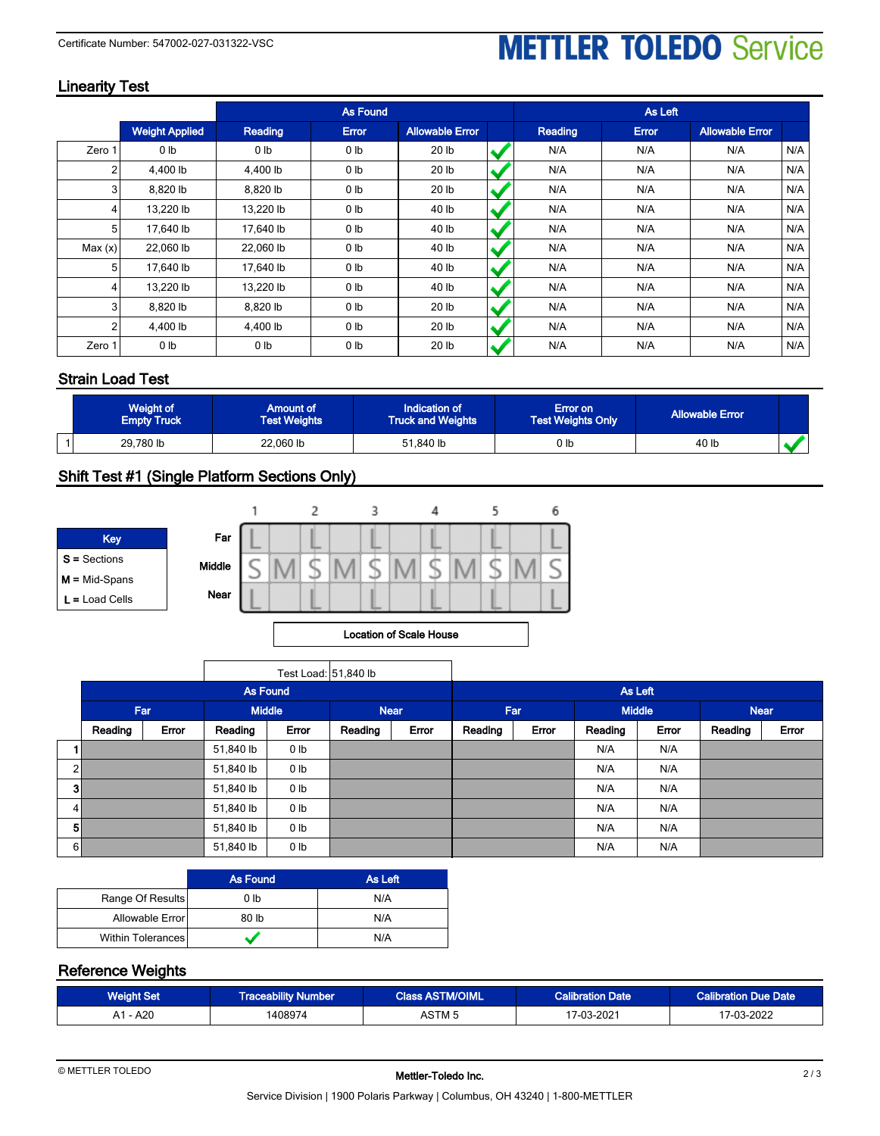# **METTLER TOLEDO Service**

### **Linearity Test**

|         |                       | <b>As Found</b> |                 |                        |  |         | As Left |                        |     |
|---------|-----------------------|-----------------|-----------------|------------------------|--|---------|---------|------------------------|-----|
|         | <b>Weight Applied</b> | Reading         | <b>Error</b>    | <b>Allowable Error</b> |  | Reading | Error   | <b>Allowable Error</b> |     |
| Zero 1  | 0 <sub>lb</sub>       | 0 <sub>lb</sub> | 0 <sub>lb</sub> | 20 lb                  |  | N/A     | N/A     | N/A                    | N/A |
| 2       | 4.400 lb              | 4.400 lb        | 0 <sub>lb</sub> | 20 <sub>1b</sub>       |  | N/A     | N/A     | N/A                    | N/A |
| 3       | 8,820 lb              | 8,820 lb        | 0 <sub>lb</sub> | 20 <sub>1b</sub>       |  | N/A     | N/A     | N/A                    | N/A |
| 4       | 13,220 lb             | 13,220 lb       | 0 <sub>lb</sub> | 40 lb                  |  | N/A     | N/A     | N/A                    | N/A |
| 5       | 17.640 lb             | 17.640 lb       | 0 <sub>lb</sub> | 40 lb                  |  | N/A     | N/A     | N/A                    | N/A |
| Max (x) | 22,060 lb             | 22,060 lb       | 0 <sub>lb</sub> | 40 lb                  |  | N/A     | N/A     | N/A                    | N/A |
| 5       | 17,640 lb             | 17,640 lb       | 0 <sub>lb</sub> | 40 lb                  |  | N/A     | N/A     | N/A                    | N/A |
| 4       | 13,220 lb             | 13,220 lb       | 0 <sub>lb</sub> | 40 lb                  |  | N/A     | N/A     | N/A                    | N/A |
| 3       | 8.820 lb              | 8,820 lb        | 0 <sub>lb</sub> | 20 <sub>1b</sub>       |  | N/A     | N/A     | N/A                    | N/A |
| 2       | 4.400 lb              | 4.400 lb        | 0 <sub>lb</sub> | 20 <sub>1b</sub>       |  | N/A     | N/A     | N/A                    | N/A |
| Zero 1  | 0 <sub>lb</sub>       | 0 <sub>lb</sub> | 0 <sub>lb</sub> | 20 <sub>1b</sub>       |  | N/A     | N/A     | N/A                    | N/A |

### **Strain Load Test**

| Weight of<br><b>Empty Truck</b> | Amount of<br><b>Test Weights</b> | Indication of<br><b>Truck and Weights</b> | Error on<br><b>Test Weights Only</b> | <b>Allowable Error</b> |  |
|---------------------------------|----------------------------------|-------------------------------------------|--------------------------------------|------------------------|--|
| 29,780 lb                       | 22,060 lb                        | 51,840 lb                                 | 0 lb                                 | 40 lb                  |  |

## **Shift Test #1 (Single Platform Sections Only)**



#### **Location of Scale House**

|                |                 |       | Test Load: 51,840 lb |                 |             |         |         |       |               |       |             |       |
|----------------|-----------------|-------|----------------------|-----------------|-------------|---------|---------|-------|---------------|-------|-------------|-------|
|                | <b>As Found</b> |       |                      |                 |             | As Left |         |       |               |       |             |       |
|                | Far             |       |                      | <b>Middle</b>   | <b>Near</b> |         | Far     |       | <b>Middle</b> |       | <b>Near</b> |       |
|                | Reading         | Error | Reading              | Error           | Reading     | Error   | Reading | Error | Reading       | Error | Reading     | Error |
|                |                 |       | 51,840 lb            | 0 <sub>lb</sub> |             |         |         |       | N/A           | N/A   |             |       |
| 2              |                 |       | 51,840 lb            | 0 <sub>lb</sub> |             |         |         |       | N/A           | N/A   |             |       |
| 3 <sup>1</sup> |                 |       | 51,840 lb            | 0 <sub>lb</sub> |             |         |         |       | N/A           | N/A   |             |       |
| $\vert$        |                 |       | 51,840 lb            | 0 <sub>lb</sub> |             |         |         |       | N/A           | N/A   |             |       |
| 5 <sup>1</sup> |                 |       | 51,840 lb            | 0 <sub>lb</sub> |             |         |         |       | N/A           | N/A   |             |       |
| 6 <sub>h</sub> |                 |       | 51,840 lb            | 0 <sub>lb</sub> |             |         |         |       | N/A           | N/A   |             |       |

|                          | <b>As Found</b> | As Left |
|--------------------------|-----------------|---------|
| Range Of Results         | 0 <sub>lb</sub> | N/A     |
| Allowable Error          | 80 lb           | N/A     |
| <b>Within Tolerances</b> |                 | N/A     |

#### **Reference Weights**

| Weight Set | <b>Traceability Number</b> | <b>Class ASTM/OIML</b> | <b>Calibration Date</b> | <b>Calibration Due Date</b> |
|------------|----------------------------|------------------------|-------------------------|-----------------------------|
| A1 - A20   | 408974                     | ASTM 5                 | 17-03-2021              | റററ<br>$\sim$<br>ב∠∪∠-י     |